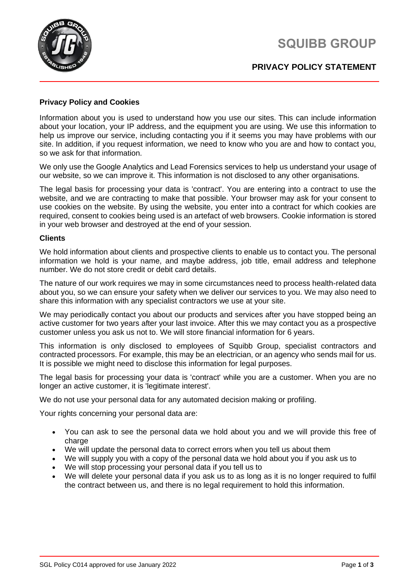



## **PRIVACY POLICY STATEMENT**

### **Privacy Policy and Cookies**

Information about you is used to understand how you use our sites. This can include information about your location, your IP address, and the equipment you are using. We use this information to help us improve our service, including contacting you if it seems you may have problems with our site. In addition, if you request information, we need to know who you are and how to contact you, so we ask for that information.

We only use the Google Analytics and Lead Forensics services to help us understand your usage of our website, so we can improve it. This information is not disclosed to any other organisations.

The legal basis for processing your data is 'contract'. You are entering into a contract to use the website, and we are contracting to make that possible. Your browser may ask for your consent to use cookies on the website. By using the website, you enter into a contract for which cookies are required, consent to cookies being used is an artefact of web browsers. Cookie information is stored in your web browser and destroyed at the end of your session.

#### **Clients**

We hold information about clients and prospective clients to enable us to contact you. The personal information we hold is your name, and maybe address, job title, email address and telephone number. We do not store credit or debit card details.

The nature of our work requires we may in some circumstances need to process health-related data about you, so we can ensure your safety when we deliver our services to you. We may also need to share this information with any specialist contractors we use at your site.

We may periodically contact you about our products and services after you have stopped being an active customer for two years after your last invoice. After this we may contact you as a prospective customer unless you ask us not to. We will store financial information for 6 years.

This information is only disclosed to employees of Squibb Group, specialist contractors and contracted processors. For example, this may be an electrician, or an agency who sends mail for us. It is possible we might need to disclose this information for legal purposes.

The legal basis for processing your data is 'contract' while you are a customer. When you are no longer an active customer, it is 'legitimate interest'.

We do not use your personal data for any automated decision making or profiling.

Your rights concerning your personal data are:

- You can ask to see the personal data we hold about you and we will provide this free of charge
- We will update the personal data to correct errors when you tell us about them
- We will supply you with a copy of the personal data we hold about you if you ask us to
- We will stop processing your personal data if you tell us to
- We will delete your personal data if you ask us to as long as it is no longer required to fulfil the contract between us, and there is no legal requirement to hold this information.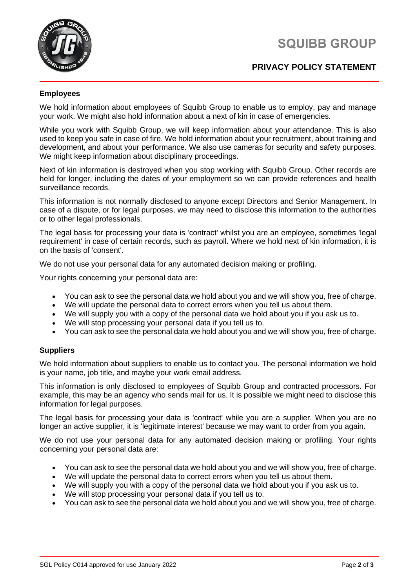# **SQUIBB GROUP**



# **PRIVACY POLICY STATEMENT**

### **Employees**

We hold information about employees of Squibb Group to enable us to employ, pay and manage your work. We might also hold information about a next of kin in case of emergencies.

While you work with Squibb Group, we will keep information about your attendance. This is also used to keep you safe in case of fire. We hold information about your recruitment, about training and development, and about your performance. We also use cameras for security and safety purposes. We might keep information about disciplinary proceedings.

Next of kin information is destroyed when you stop working with Squibb Group. Other records are held for longer, including the dates of your employment so we can provide references and health surveillance records.

This information is not normally disclosed to anyone except Directors and Senior Management. In case of a dispute, or for legal purposes, we may need to disclose this information to the authorities or to other legal professionals.

The legal basis for processing your data is 'contract' whilst you are an employee, sometimes 'legal requirement' in case of certain records, such as payroll. Where we hold next of kin information, it is on the basis of 'consent'.

We do not use your personal data for any automated decision making or profiling.

Your rights concerning your personal data are:

- You can ask to see the personal data we hold about you and we will show you, free of charge.
- We will update the personal data to correct errors when you tell us about them.
- We will supply you with a copy of the personal data we hold about you if you ask us to.
- We will stop processing your personal data if you tell us to.
- You can ask to see the personal data we hold about you and we will show you, free of charge.

### **Suppliers**

We hold information about suppliers to enable us to contact you. The personal information we hold is your name, job title, and maybe your work email address.

This information is only disclosed to employees of Squibb Group and contracted processors. For example, this may be an agency who sends mail for us. It is possible we might need to disclose this information for legal purposes.

The legal basis for processing your data is 'contract' while you are a supplier. When you are no longer an active supplier, it is 'legitimate interest' because we may want to order from you again.

We do not use your personal data for any automated decision making or profiling. Your rights concerning your personal data are:

- You can ask to see the personal data we hold about you and we will show you, free of charge.
- We will update the personal data to correct errors when you tell us about them.
- We will supply you with a copy of the personal data we hold about you if you ask us to.
- We will stop processing your personal data if you tell us to.
- You can ask to see the personal data we hold about you and we will show you, free of charge.